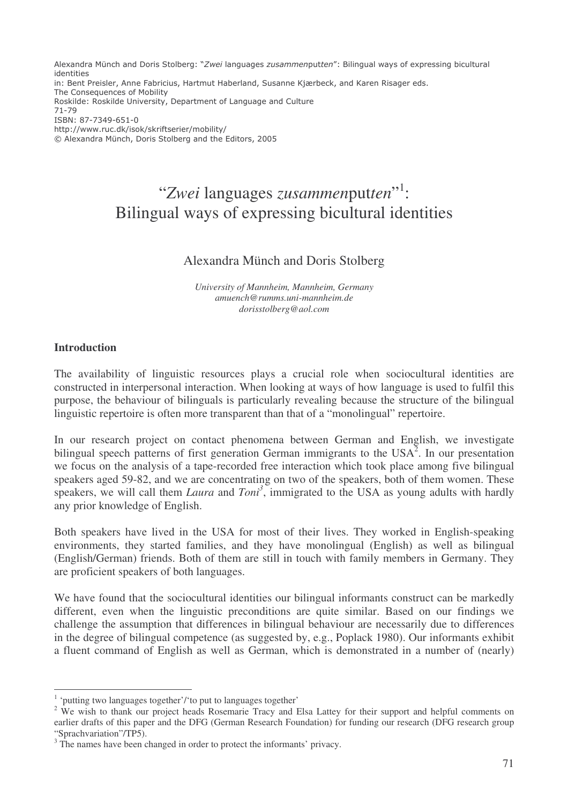Alexandra Münch and Doris Stolberg: "Zwei languages zusammenputten": Bilingual ways of expressing bicultural identities

in: Bent Preisler, Anne Fabricius, Hartmut Haberland, Susanne Kjærbeck, and Karen Risager eds. The Consequences of Mobility Roskilde: Roskilde University, Department of Language and Culture 71-79 ISBN: 87-7349-651-0

http://www.ruc.dk/isok/skriftserier/mobility/

© Alexandra Münch, Doris Stolberg and the Editors, 2005

# "*Zwei* languages *zusammen*put*ten*" 1 : Bilingual ways of expressing bicultural identities

# Alexandra Münch and Doris Stolberg

*University of Mannheim, Mannheim, Germany amuench@rumms.uni-mannheim.de dorisstolberg@aol.com*

### **Introduction**

The availability of linguistic resources plays a crucial role when sociocultural identities are constructed in interpersonal interaction. When looking at ways of how language is used to fulfil this purpose, the behaviour of bilinguals is particularly revealing because the structure of the bilingual linguistic repertoire is often more transparent than that of a "monolingual" repertoire.

In our research project on contact phenomena between German and English, we investigate bilingual speech patterns of first generation German immigrants to the USA<sup>2</sup>. In our presentation we focus on the analysis of a tape-recorded free interaction which took place among five bilingual speakers aged 59-82, and we are concentrating on two of the speakers, both of them women. These speakers, we will call them *Laura* and *Toni*<sup>3</sup>, immigrated to the USA as young adults with hardly any prior knowledge of English.

Both speakers have lived in the USA for most of their lives. They worked in English-speaking environments, they started families, and they have monolingual (English) as well as bilingual (English/German) friends. Both of them are still in touch with family members in Germany. They are proficient speakers of both languages.

We have found that the sociocultural identities our bilingual informants construct can be markedly different, even when the linguistic preconditions are quite similar. Based on our findings we challenge the assumption that differences in bilingual behaviour are necessarily due to differences in the degree of bilingual competence (as suggested by, e.g., Poplack 1980). Our informants exhibit a fluent command of English as well as German, which is demonstrated in a number of (nearly)

<sup>&</sup>lt;sup>1</sup> 'putting two languages together'/'to put to languages together'

<sup>&</sup>lt;sup>2</sup> We wish to thank our project heads Rosemarie Tracy and Elsa Lattey for their support and helpful comments on earlier drafts of this paper and the DFG (German Research Foundation) for funding our research (DFG research group "Sprachvariation"/TP5).

<sup>&</sup>lt;sup>3</sup> The names have been changed in order to protect the informants' privacy.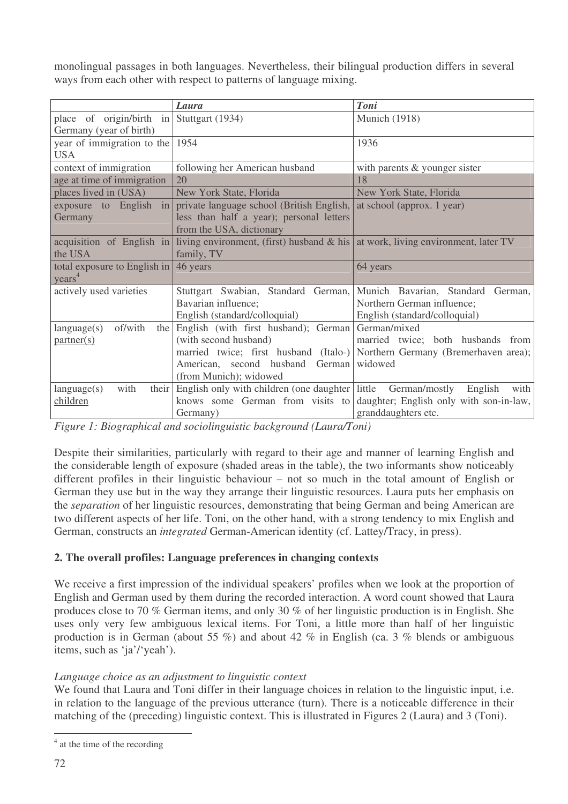monolingual passages in both languages. Nevertheless, their bilingual production differs in several ways from each other with respect to patterns of language mixing.

|                                      | Laura                                                                                      | <b>Toni</b>                                                                |  |
|--------------------------------------|--------------------------------------------------------------------------------------------|----------------------------------------------------------------------------|--|
| place of origin/birth                | $\frac{1}{2}$ Stuttgart (1934)                                                             | <b>Munich</b> (1918)                                                       |  |
| Germany (year of birth)              |                                                                                            |                                                                            |  |
| year of immigration to the $ 1954 $  |                                                                                            | 1936                                                                       |  |
| <b>USA</b>                           |                                                                                            |                                                                            |  |
| context of immigration               | following her American husband<br>with parents $&$ younger sister                          |                                                                            |  |
| age at time of immigration           | 20                                                                                         | 18                                                                         |  |
| places lived in (USA)                | New York State, Florida                                                                    | New York State, Florida                                                    |  |
| exposure to English<br>$\frac{1}{2}$ | private language school (British English,                                                  | at school (approx. 1 year)                                                 |  |
| Germany                              | less than half a year); personal letters                                                   |                                                                            |  |
|                                      | from the USA, dictionary                                                                   |                                                                            |  |
| acquisition of English in            | living environment, (first) husband $\&$ his $\vert$ at work, living environment, later TV |                                                                            |  |
| the USA                              | family, TV                                                                                 |                                                                            |  |
| total exposure to English in         | 46 years                                                                                   | 64 years                                                                   |  |
| years <sup>4</sup>                   |                                                                                            |                                                                            |  |
| actively used varieties              |                                                                                            | Stuttgart Swabian, Standard German, Munich Bavarian, Standard German,      |  |
|                                      | Bavarian influence;                                                                        | Northern German influence;                                                 |  |
|                                      | English (standard/colloquial)                                                              | English (standard/colloquial)                                              |  |
| of/with<br>language(s)               | the English (with first husband); German                                                   | German/mixed                                                               |  |
| partner(s)                           | (with second husband)                                                                      | married twice; both husbands from                                          |  |
|                                      |                                                                                            | married twice; first husband (Italo-) Northern Germany (Bremerhaven area); |  |
|                                      | American, second husband<br>German                                                         | widowed                                                                    |  |
|                                      | (from Munich); widowed                                                                     |                                                                            |  |
| with<br>language(s)                  | their English only with children (one daughter little                                      | German/mostly<br>English<br>with                                           |  |
| children                             | knows some German from visits to                                                           | daughter; English only with son-in-law,                                    |  |
|                                      | Germany)                                                                                   | granddaughters etc.                                                        |  |

*Figure 1: Biographical and sociolinguistic background (Laura/Toni)*

Despite their similarities, particularly with regard to their age and manner of learning English and the considerable length of exposure (shaded areas in the table), the two informants show noticeably different profiles in their linguistic behaviour – not so much in the total amount of English or German they use but in the way they arrange their linguistic resources. Laura puts her emphasis on the *separation* of her linguistic resources, demonstrating that being German and being American are two different aspects of her life. Toni, on the other hand, with a strong tendency to mix English and German, constructs an *integrated* German-American identity (cf. Lattey/Tracy, in press).

# **2. The overall profiles: Language preferences in changing contexts**

We receive a first impression of the individual speakers' profiles when we look at the proportion of English and German used by them during the recorded interaction. A word count showed that Laura produces close to 70 % German items, and only 30 % of her linguistic production is in English. She uses only very few ambiguous lexical items. For Toni, a little more than half of her linguistic production is in German (about 55 %) and about 42 % in English (ca. 3 % blends or ambiguous items, such as 'ja'/'yeah').

# *Language choice as an adjustment to linguistic context*

We found that Laura and Toni differ in their language choices in relation to the linguistic input, i.e. in relation to the language of the previous utterance (turn). There is a noticeable difference in their matching of the (preceding) linguistic context. This is illustrated in Figures 2 (Laura) and 3 (Toni).

<sup>&</sup>lt;sup>4</sup> at the time of the recording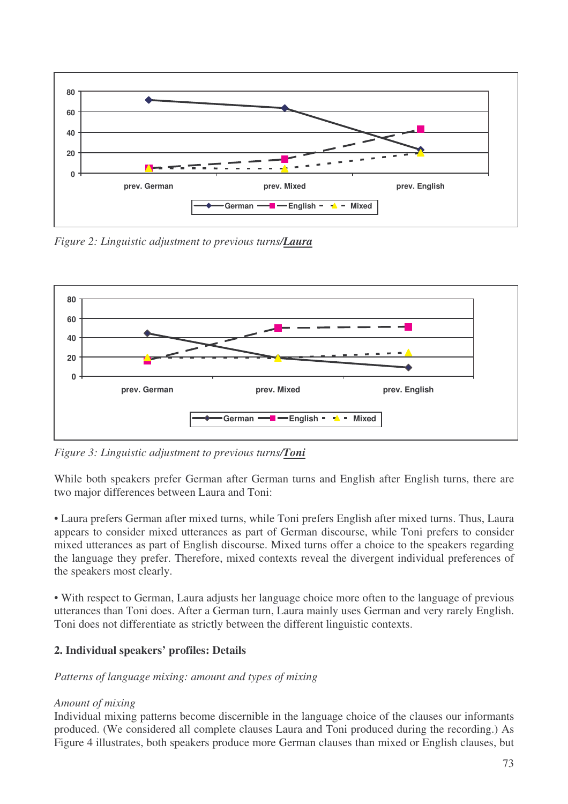

*Figure 2: Linguistic adjustment to previous turns/Laura*



*Figure 3: Linguistic adjustment to previous turns/Toni*

While both speakers prefer German after German turns and English after English turns, there are two major differences between Laura and Toni:

• Laura prefers German after mixed turns, while Toni prefers English after mixed turns. Thus, Laura appears to consider mixed utterances as part of German discourse, while Toni prefers to consider mixed utterances as part of English discourse. Mixed turns offer a choice to the speakers regarding the language they prefer. Therefore, mixed contexts reveal the divergent individual preferences of the speakers most clearly.

• With respect to German, Laura adjusts her language choice more often to the language of previous utterances than Toni does. After a German turn, Laura mainly uses German and very rarely English. Toni does not differentiate as strictly between the different linguistic contexts.

# **2. Individual speakers' profiles: Details**

### *Patterns of language mixing: amount and types of mixing*

### *Amount of mixing*

Individual mixing patterns become discernible in the language choice of the clauses our informants produced. (We considered all complete clauses Laura and Toni produced during the recording.) As Figure 4 illustrates, both speakers produce more German clauses than mixed or English clauses, but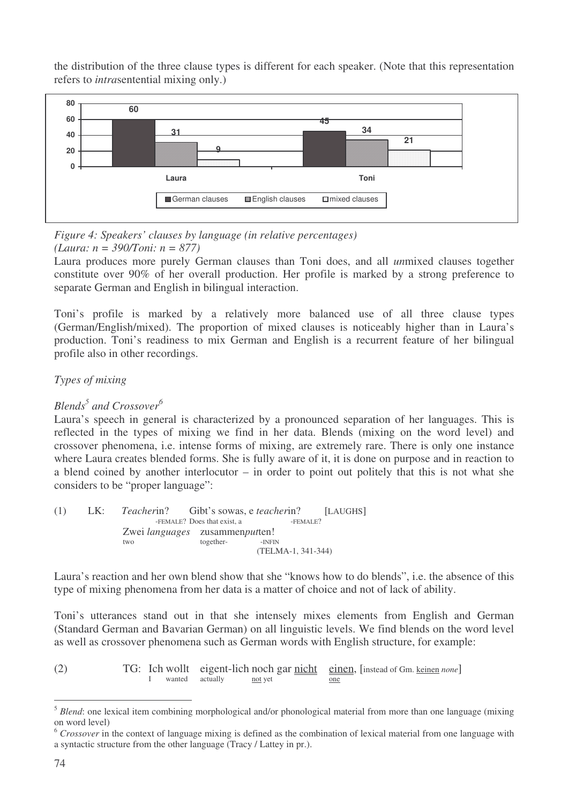the distribution of the three clause types is different for each speaker. (Note that this representation refers to *intra*sentential mixing only.)



#### *Figure 4: Speakers' clauses by language (in relative percentages) (Laura: n = 390/Toni: n = 877)*

Laura produces more purely German clauses than Toni does, and all *un*mixed clauses together constitute over 90% of her overall production. Her profile is marked by a strong preference to separate German and English in bilingual interaction.

Toni's profile is marked by a relatively more balanced use of all three clause types (German/English/mixed). The proportion of mixed clauses is noticeably higher than in Laura's production. Toni's readiness to mix German and English is a recurrent feature of her bilingual profile also in other recordings.

# *Types of mixing*

# *Blends 5 and Crossover 6*

Laura's speech in general is characterized by a pronounced separation of her languages. This is reflected in the types of mixing we find in her data. Blends (mixing on the word level) and crossover phenomena, i.e. intense forms of mixing, are extremely rare. There is only one instance where Laura creates blended forms. She is fully aware of it, it is done on purpose and in reaction to a blend coined by another interlocutor – in order to point out politely that this is not what she considers to be "proper language":

| (1) |  | LK: Teacherin? Gibt's sowas, e teacherin? [LAUGHS] |                                           |                    |  |
|-----|--|----------------------------------------------------|-------------------------------------------|--------------------|--|
|     |  |                                                    | -FEMALE? Does that exist, a<br>$-FEMALE?$ |                    |  |
|     |  | Zwei <i>languages</i> zusammenputten!              |                                           |                    |  |
|     |  | two                                                | together-                                 | -INFIN             |  |
|     |  |                                                    |                                           | (TELMA-1, 341-344) |  |

Laura's reaction and her own blend show that she "knows how to do blends", i.e. the absence of this type of mixing phenomena from her data is a matter of choice and not of lack of ability.

Toni's utterances stand out in that she intensely mixes elements from English and German (Standard German and Bavarian German) on all linguistic levels. We find blends on the word level as well as crossover phenomena such as German words with English structure, for example:

(2) TG: Ich wollt eigent-lich noch gar <u>nicht</u> einen, [instead of Gm. <u>keinen</u> *none*] I wanted actually not yet one

<sup>&</sup>lt;sup>5</sup> *Blend*: one lexical item combining morphological and/or phonological material from more than one language (mixing on word level)

<sup>&</sup>lt;sup>6</sup> Crossover in the context of language mixing is defined as the combination of lexical material from one language with a syntactic structure from the other language (Tracy / Lattey in pr.).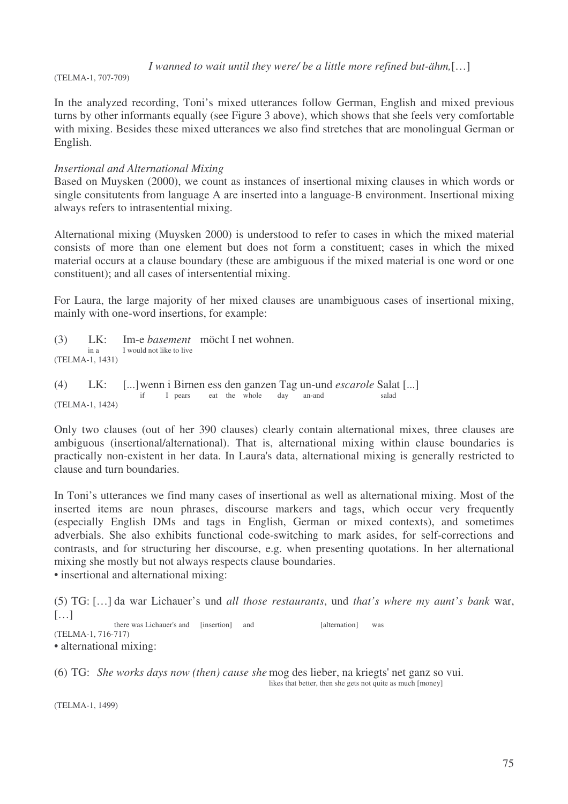*I wanned to wait until they were/ be a little more refined but-ähm,*[…]

(TELMA-1, 707-709)

In the analyzed recording, Toni's mixed utterances follow German, English and mixed previous turns by other informants equally (see Figure 3 above), which shows that she feels very comfortable with mixing. Besides these mixed utterances we also find stretches that are monolingual German or English.

### *Insertional and Alternational Mixing*

Based on Muysken (2000), we count as instances of insertional mixing clauses in which words or single consitutents from language A are inserted into a language-B environment. Insertional mixing always refers to intrasentential mixing.

Alternational mixing (Muysken 2000) is understood to refer to cases in which the mixed material consists of more than one element but does not form a constituent; cases in which the mixed material occurs at a clause boundary (these are ambiguous if the mixed material is one word or one constituent); and all cases of intersentential mixing.

For Laura, the large majority of her mixed clauses are unambiguous cases of insertional mixing, mainly with one-word insertions, for example:

(3) LK: Im-e *basement* möcht I net wohnen. I would not like to live (TELMA-1, 1431)

(4) LK: [...]wenn i Birnen ess den ganzen Tag un-und *escarole* Salat [...] if I pears eat the whole day an-and salad (TELMA-1, 1424)

Only two clauses (out of her 390 clauses) clearly contain alternational mixes, three clauses are ambiguous (insertional/alternational). That is, alternational mixing within clause boundaries is practically non-existent in her data. In Laura's data, alternational mixing is generally restricted to clause and turn boundaries.

In Toni's utterances we find many cases of insertional as well as alternational mixing. Most of the inserted items are noun phrases, discourse markers and tags, which occur very frequently (especially English DMs and tags in English, German or mixed contexts), and sometimes adverbials. She also exhibits functional code-switching to mark asides, for self-corrections and contrasts, and for structuring her discourse, e.g. when presenting quotations. In her alternational mixing she mostly but not always respects clause boundaries.

• insertional and alternational mixing:

(5) TG: […] da war Lichauer's und *all those restaurants*, und *that's where my aunt's bank* war,  $[\ldots]$ there was Lichauer's and [insertion] and [alternation] was (TELMA-1, 716-717)

• alternational mixing:

(6) TG: *She works days now (then) cause she* mog des lieber, na kriegts'net ganz so vui. likes that better, then she gets not quite as much [money]

(TELMA-1, 1499)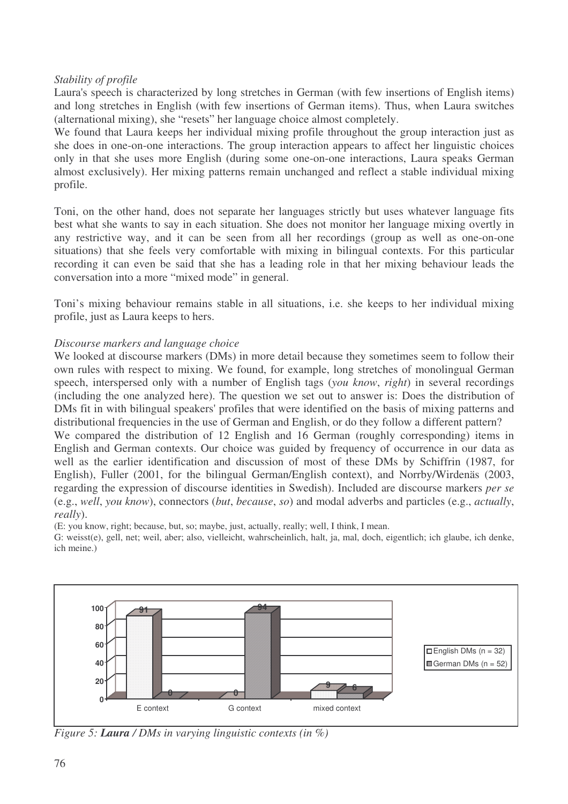### *Stability of profile*

Laura's speech is characterized by long stretches in German (with few insertions of English items) and long stretches in English (with few insertions of German items). Thus, when Laura switches (alternational mixing), she "resets" her language choice almost completely.

We found that Laura keeps her individual mixing profile throughout the group interaction just as she does in one-on-one interactions. The group interaction appears to affect her linguistic choices only in that she uses more English (during some one-on-one interactions, Laura speaks German almost exclusively). Her mixing patterns remain unchanged and reflect a stable individual mixing profile.

Toni, on the other hand, does not separate her languages strictly but uses whatever language fits best what she wants to say in each situation. She does not monitor her language mixing overtly in any restrictive way, and it can be seen from all her recordings (group as well as one-on-one situations) that she feels very comfortable with mixing in bilingual contexts. For this particular recording it can even be said that she has a leading role in that her mixing behaviour leads the conversation into a more "mixed mode" in general.

Toni's mixing behaviour remains stable in all situations, i.e. she keeps to her individual mixing profile, just as Laura keeps to hers.

### *Discourse markers and language choice*

We looked at discourse markers (DMs) in more detail because they sometimes seem to follow their own rules with respect to mixing. We found, for example, long stretches of monolingual German speech, interspersed only with a number of English tags (*you know*, *right*) in several recordings (including the one analyzed here). The question we set out to answer is: Does the distribution of DMs fit in with bilingual speakers' profiles that were identified on the basis of mixing patterns and distributional frequencies in the use of German and English, or do they follow a different pattern? We compared the distribution of 12 English and 16 German (roughly corresponding) items in English and German contexts. Our choice was guided by frequency of occurrence in our data as well as the earlier identification and discussion of most of these DMs by Schiffrin (1987, for English), Fuller (2001, for the bilingual German/English context), and Norrby/Wirdenäs (2003, regarding the expression of discourse identities in Swedish). Included are discourse markers *per se* (e.g., *well*, *you know*), connectors (*but*, *because*, *so*) and modal adverbs and particles (e.g., *actually*, *really*).

(E: you know, right; because, but, so; maybe, just, actually, really; well, I think, I mean.

G: weisst(e), gell, net; weil, aber; also, vielleicht, wahrscheinlich, halt, ja, mal, doch, eigentlich; ich glaube, ich denke, ich meine.)



*Figure 5: Laura / DMs in varying linguistic contexts (in %)*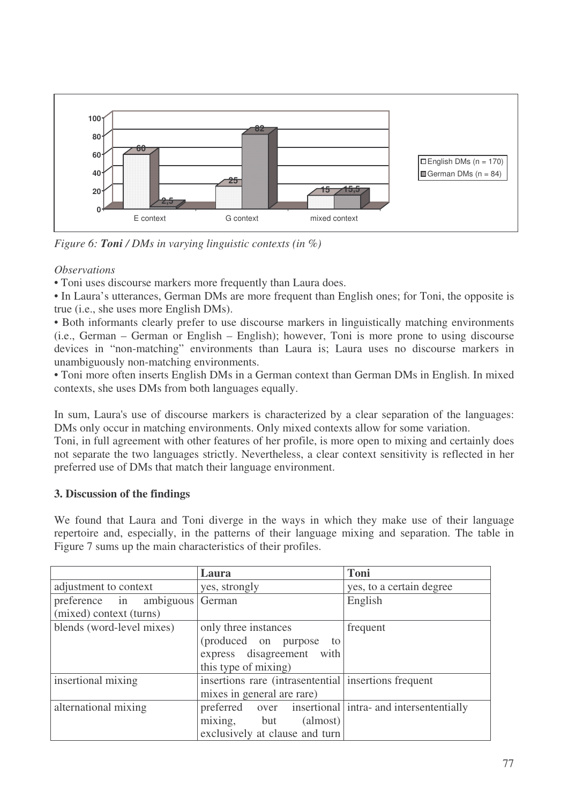

*Figure 6: Toni / DMs in varying linguistic contexts (in %)*

### *Observations*

• Toni uses discourse markers more frequently than Laura does.

• In Laura's utterances, German DMs are more frequent than English ones; for Toni, the opposite is true (i.e., she uses more English DMs).

• Both informants clearly prefer to use discourse markers in linguistically matching environments (i.e., German – German or English – English); however, Toni is more prone to using discourse devices in "non-matching" environments than Laura is; Laura uses no discourse markers in unambiguously non-matching environments.

• Toni more often inserts English DMs in a German context than German DMs in English. In mixed contexts, she uses DMs from both languages equally.

In sum, Laura's use of discourse markers is characterized by a clear separation of the languages: DMs only occur in matching environments. Only mixed contexts allow for some variation.

Toni, in full agreement with other features of her profile, is more open to mixing and certainly does not separate the two languages strictly. Nevertheless, a clear context sensitivity is reflected in her preferred use of DMs that match their language environment.

# **3. Discussion of the findings**

We found that Laura and Toni diverge in the ways in which they make use of their language repertoire and, especially, in the patterns of their language mixing and separation. The table in Figure 7 sums up the main characteristics of their profiles.

|                                                           | Laura                                                                                                    | <b>Toni</b>                                   |
|-----------------------------------------------------------|----------------------------------------------------------------------------------------------------------|-----------------------------------------------|
| adjustment to context                                     | yes, strongly                                                                                            | yes, to a certain degree                      |
| preference in ambiguous German<br>(mixed) context (turns) |                                                                                                          | English                                       |
| blends (word-level mixes)                                 | only three instances<br>(produced on purpose)<br>to<br>express disagreement with<br>this type of mixing) | frequent                                      |
| insertional mixing                                        | insertions rare (intrasentential insertions frequent)<br>mixes in general are rare)                      |                                               |
| alternational mixing                                      | preferred<br>mixing, but<br>(almost)<br>exclusively at clause and turn                                   | over insertional intra- and intersententially |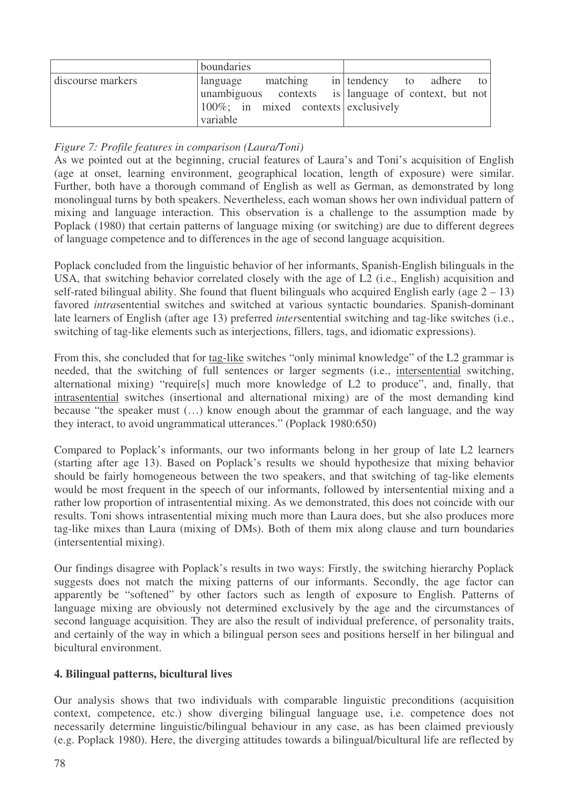|                   | boundaries                                                 |                          |
|-------------------|------------------------------------------------------------|--------------------------|
| discourse markers | matching<br>language                                       | in tendency to adhere to |
|                   | unambiguous contexts is language of context, but not       |                          |
|                   | $\vert 100\%; \text{ in mixed contexts} \vert$ exclusively |                          |
|                   | variable                                                   |                          |

### *Figure 7: Profile features in comparison (Laura/Toni)*

As we pointed out at the beginning, crucial features of Laura's and Toni's acquisition of English (age at onset, learning environment, geographical location, length of exposure) were similar. Further, both have a thorough command of English as well as German, as demonstrated by long monolingual turns by both speakers. Nevertheless, each woman shows her own individual pattern of mixing and language interaction. This observation is a challenge to the assumption made by Poplack (1980) that certain patterns of language mixing (or switching) are due to different degrees of language competence and to differences in the age of second language acquisition.

Poplack concluded from the linguistic behavior of her informants, Spanish-English bilinguals in the USA, that switching behavior correlated closely with the age of L2 (i.e., English) acquisition and self-rated bilingual ability. She found that fluent bilinguals who acquired English early (age  $2 - 13$ ) favored *intra*sentential switches and switched at various syntactic boundaries. Spanish-dominant late learners of English (after age 13) preferred *intersentential* switching and tag-like switches (i.e., switching of tag-like elements such as interjections, fillers, tags, and idiomatic expressions).

From this, she concluded that for tag-like switches "only minimal knowledge" of the L2 grammar is needed, that the switching of full sentences or larger segments (i.e., intersentential switching, alternational mixing) "require[s] much more knowledge of L2 to produce", and, finally, that intrasentential switches (insertional and alternational mixing) are of the most demanding kind because "the speaker must (…) know enough about the grammar of each language, and the way they interact, to avoid ungrammatical utterances." (Poplack 1980:650)

Compared to Poplack's informants, our two informants belong in her group of late L2 learners (starting after age 13). Based on Poplack's results we should hypothesize that mixing behavior should be fairly homogeneous between the two speakers, and that switching of tag-like elements would be most frequent in the speech of our informants, followed by intersentential mixing and a rather low proportion of intrasentential mixing. As we demonstrated, this does not coincide with our results. Toni shows intrasentential mixing much more than Laura does, but she also produces more tag-like mixes than Laura (mixing of DMs). Both of them mix along clause and turn boundaries (intersentential mixing).

Our findings disagree with Poplack's results in two ways: Firstly, the switching hierarchy Poplack suggests does not match the mixing patterns of our informants. Secondly, the age factor can apparently be "softened" by other factors such as length of exposure to English. Patterns of language mixing are obviously not determined exclusively by the age and the circumstances of second language acquisition. They are also the result of individual preference, of personality traits, and certainly of the way in which a bilingual person sees and positions herself in her bilingual and bicultural environment.

### **4. Bilingual patterns, bicultural lives**

Our analysis shows that two individuals with comparable linguistic preconditions (acquisition context, competence, etc.) show diverging bilingual language use, i.e. competence does not necessarily determine linguistic/bilingual behaviour in any case, as has been claimed previously (e.g. Poplack 1980). Here, the diverging attitudes towards a bilingual/bicultural life are reflected by